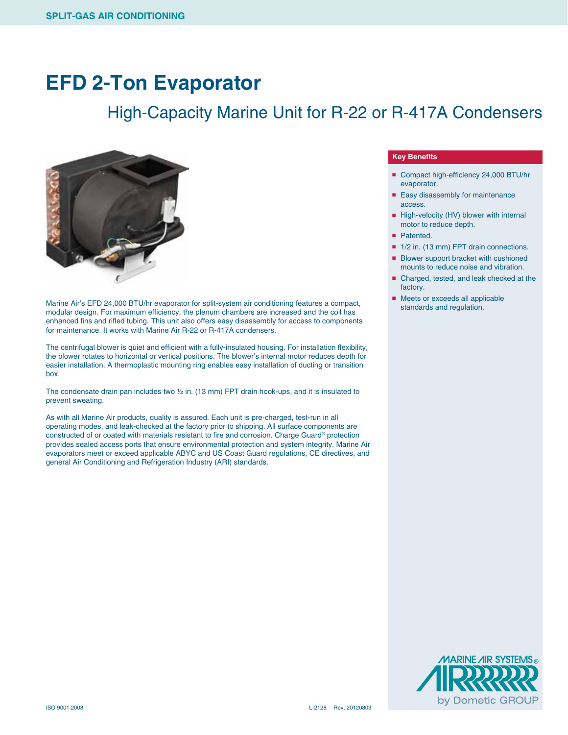### **EFD 2-Ton Evaporator**

### High-Capacity Marine Unit for R-22 or R-417A Condensers



Marine Air's EFD 24,000 BTU/hr evaporator for split-system air conditioning features a compact, modular design. For maximum efficiency, the plenum chambers are increased and the coil has enhanced fins and rifled tubing. This unit also offers easy disassembly for access to components for maintenance. It works with Marine Air R-22 or R-417A condensers.

The centrifugal blower is quiet and efficient with a fully-insulated housing. For installation flexibility, the blower rotates to horizontal or vertical positions. The blower's internal motor reduces depth for easier installation. A thermoplastic mounting ring enables easy installation of ducting or transition box.

The condensate drain pan includes two  $\frac{1}{2}$  in. (13 mm) FPT drain hook-ups, and it is insulated to prevent sweating.

As with all Marine Air products, quality is assured. Each unit is pre-charged, test-run in all operating modes, and leak-checked at the factory prior to shipping. All surface components are constructed of or coated with materials resistant to fire and corrosion. Charge Guard® protection provides sealed access ports that ensure environmental protection and system integrity. Marine Air evaporators meet or exceed applicable ABYC and US Coast Guard regulations, CE directives, and general Air Conditioning and Refrigeration Industry (ARI) standards.

#### **Key Benefits**

- Compact high-efficiency 24,000 BTU/hr evaporator.
- Easy disassembly for maintenance access.
- High-velocity (HV) blower with internal motor to reduce depth.
- Patented.
- 1/2 in. (13 mm) FPT drain connections.
- Blower support bracket with cushioned mounts to reduce noise and vibration.
- Charged, tested, and leak checked at the factory.
- Meets or exceeds all applicable standards and regulation.